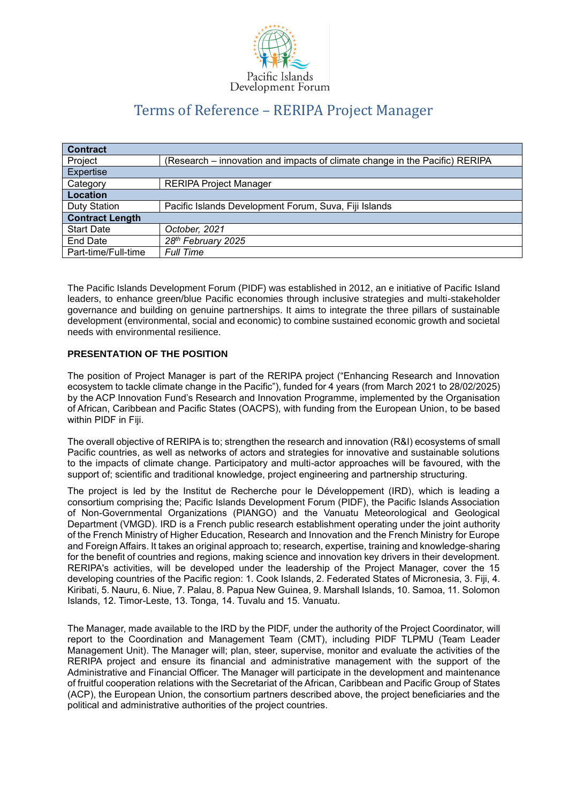

# Terms of Reference – RERIPA Project Manager

| (Research – innovation and impacts of climate change in the Pacific) RERIPA |
|-----------------------------------------------------------------------------|
|                                                                             |
| <b>RERIPA Project Manager</b>                                               |
|                                                                             |
| Pacific Islands Development Forum, Suva, Fiji Islands                       |
|                                                                             |
| October, 2021                                                               |
| 28th February 2025                                                          |
| <b>Full Time</b>                                                            |
|                                                                             |

The Pacific Islands Development Forum (PIDF) was established in 2012, an e initiative of Pacific Island leaders, to enhance green/blue Pacific economies through inclusive strategies and multi-stakeholder governance and building on genuine partnerships. It aims to integrate the three pillars of sustainable development (environmental, social and economic) to combine sustained economic growth and societal needs with environmental resilience.

# **PRESENTATION OF THE POSITION**

The position of Project Manager is part of the RERIPA project ("Enhancing Research and Innovation ecosystem to tackle climate change in the Pacific"), funded for 4 years (from March 2021 to 28/02/2025) by the ACP Innovation Fund's Research and Innovation Programme, implemented by the Organisation of African, Caribbean and Pacific States (OACPS), with funding from the European Union, to be based within PIDF in Fiji.

The overall objective of RERIPA is to; strengthen the research and innovation (R&I) ecosystems of small Pacific countries, as well as networks of actors and strategies for innovative and sustainable solutions to the impacts of climate change. Participatory and multi-actor approaches will be favoured, with the support of; scientific and traditional knowledge, project engineering and partnership structuring.

The project is led by the Institut de Recherche pour le Développement (IRD), which is leading a consortium comprising the; Pacific Islands Development Forum (PIDF), the Pacific Islands Association of Non-Governmental Organizations (PIANGO) and the Vanuatu Meteorological and Geological Department (VMGD). IRD is a French public research establishment operating under the joint authority of the French Ministry of Higher Education, Research and Innovation and the French Ministry for Europe and Foreign Affairs. It takes an original approach to; research, expertise, training and knowledge-sharing for the benefit of countries and regions, making science and innovation key drivers in their development. RERIPA's activities, will be developed under the leadership of the Project Manager, cover the 15 developing countries of the Pacific region: 1. Cook Islands, 2. Federated States of Micronesia, 3. Fiji, 4. Kiribati, 5. Nauru, 6. Niue, 7. Palau, 8. Papua New Guinea, 9. Marshall Islands, 10. Samoa, 11. Solomon Islands, 12. Timor-Leste, 13. Tonga, 14. Tuvalu and 15. Vanuatu.

The Manager, made available to the IRD by the PIDF, under the authority of the Project Coordinator, will report to the Coordination and Management Team (CMT), including PIDF TLPMU (Team Leader Management Unit). The Manager will; plan, steer, supervise, monitor and evaluate the activities of the RERIPA project and ensure its financial and administrative management with the support of the Administrative and Financial Officer. The Manager will participate in the development and maintenance of fruitful cooperation relations with the Secretariat of the African, Caribbean and Pacific Group of States (ACP), the European Union, the consortium partners described above, the project beneficiaries and the political and administrative authorities of the project countries.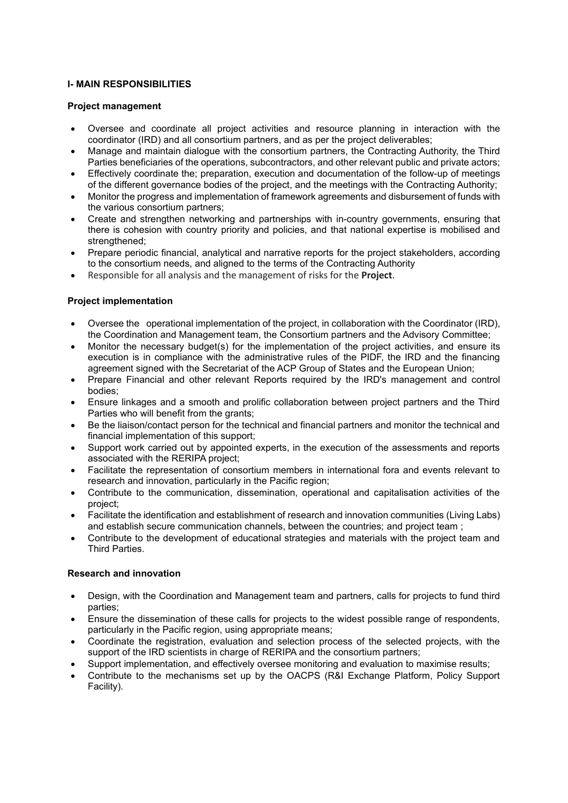# **I- MAIN RESPONSIBILITIES**

## **Project management**

- Oversee and coordinate all project activities and resource planning in interaction with the coordinator (IRD) and all consortium partners, and as per the project deliverables;
- Manage and maintain dialogue with the consortium partners, the Contracting Authority, the Third Parties beneficiaries of the operations, subcontractors, and other relevant public and private actors;
- Effectively coordinate the; preparation, execution and documentation of the follow-up of meetings of the different governance bodies of the project, and the meetings with the Contracting Authority;
- Monitor the progress and implementation of framework agreements and disbursement of funds with the various consortium partners;
- Create and strengthen networking and partnerships with in-country governments, ensuring that there is cohesion with country priority and policies, and that national expertise is mobilised and strengthened;
- Prepare periodic financial, analytical and narrative reports for the project stakeholders, according to the consortium needs, and aligned to the terms of the Contracting Authority
- Responsible for all analysis and the management of risks for the **Project**.

#### **Project implementation**

- Oversee the operational implementation of the project, in collaboration with the Coordinator (IRD), the Coordination and Management team, the Consortium partners and the Advisory Committee;
- Monitor the necessary budget(s) for the implementation of the project activities, and ensure its execution is in compliance with the administrative rules of the PIDF, the IRD and the financing agreement signed with the Secretariat of the ACP Group of States and the European Union;
- Prepare Financial and other relevant Reports required by the IRD's management and control bodies;
- Ensure linkages and a smooth and prolific collaboration between project partners and the Third Parties who will benefit from the grants;
- Be the liaison/contact person for the technical and financial partners and monitor the technical and financial implementation of this support;
- Support work carried out by appointed experts, in the execution of the assessments and reports associated with the RERIPA project;
- Facilitate the representation of consortium members in international fora and events relevant to research and innovation, particularly in the Pacific region;
- Contribute to the communication, dissemination, operational and capitalisation activities of the project;
- Facilitate the identification and establishment of research and innovation communities (Living Labs) and establish secure communication channels, between the countries; and project team ;
- Contribute to the development of educational strategies and materials with the project team and Third Parties.

# **Research and innovation**

- Design, with the Coordination and Management team and partners, calls for projects to fund third parties;
- Ensure the dissemination of these calls for projects to the widest possible range of respondents, particularly in the Pacific region, using appropriate means;
- Coordinate the registration, evaluation and selection process of the selected projects, with the support of the IRD scientists in charge of RERIPA and the consortium partners;
- Support implementation, and effectively oversee monitoring and evaluation to maximise results;
- Contribute to the mechanisms set up by the OACPS (R&I Exchange Platform, Policy Support Facility).